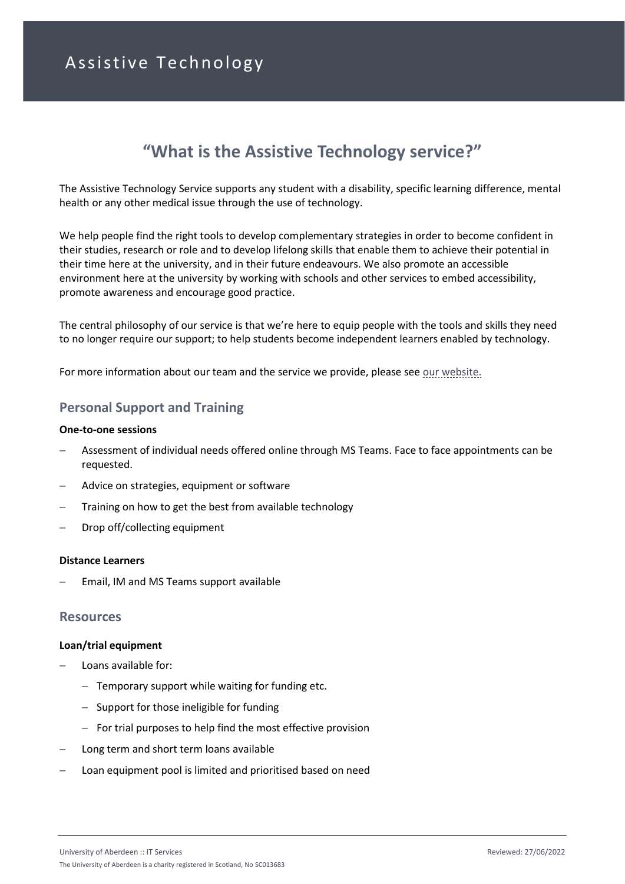# Assistive Technology

# **"What is the Assistive Technology service?"**

The Assistive Technology Service supports any student with a disability, specific learning difference, mental health or any other medical issue through the use of technology.

We help people find the right tools to develop complementary strategies in order to become confident in their studies, research or role and to develop lifelong skills that enable them to achieve their potential in their time here at the university, and in their future endeavours. We also promote an accessible environment here at the university by working with schools and other services to embed accessibility, promote awareness and encourage good practice.

The central philosophy of our service is that we're here to equip people with the tools and skills they need to no longer require our support; to help students become independent learners enabled by technology.

For more information about our team and the service we provide, please see [our website.](https://www.abdn.ac.uk/it/services/atech/index.php)

# **Personal Support and Training**

#### **One-to-one sessions**

- − Assessment of individual needs offered online through MS Teams. Face to face appointments can be requested.
- − Advice on strategies, equipment or software
- Training on how to get the best from available technology
- − Drop off/collecting equipment

#### **Distance Learners**

Email, IM and MS Teams support available

### **Resources**

#### **Loan/trial equipment**

- − Loans available for:
	- − Temporary support while waiting for funding etc.
	- − Support for those ineligible for funding
	- − For trial purposes to help find the most effective provision
- Long term and short term loans available
- Loan equipment pool is limited and prioritised based on need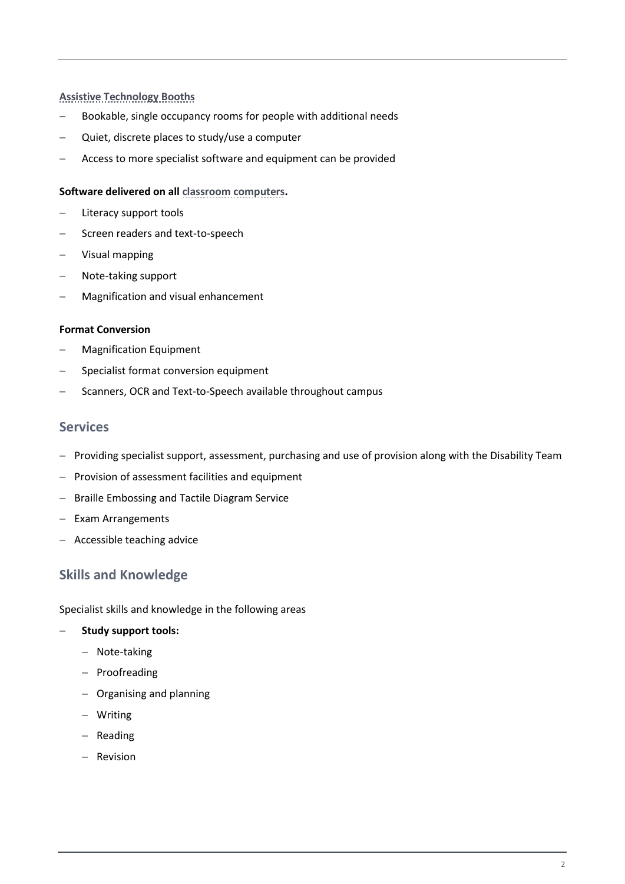## **[Assistive Technology Booths](https://www.abdn.ac.uk/it/services/atech/hardware.php)**

- − Bookable, single occupancy rooms for people with additional needs
- − Quiet, discrete places to study/use a computer
- − Access to more specialist software and equipment can be provided

### **Software delivered on al[l classroom computers.](https://www.abdn.ac.uk/toolkit/systems/classroom-pcs/)**

- − Literacy support tools
- − Screen readers and text-to-speech
- − Visual mapping
- − Note-taking support
- − Magnification and visual enhancement

#### **Format Conversion**

- − Magnification Equipment
- − Specialist format conversion equipment
- − Scanners, OCR and Text-to-Speech available throughout campus

## **Services**

- − Providing specialist support, assessment, purchasing and use of provision along with the Disability Team
- − Provision of assessment facilities and equipment
- − Braille Embossing and Tactile Diagram Service
- − Exam Arrangements
- − Accessible teaching advice

# **Skills and Knowledge**

#### Specialist skills and knowledge in the following areas

#### − **Study support tools:**

- − Note-taking
- − Proofreading
- − Organising and planning
- − Writing
- − Reading
- − Revision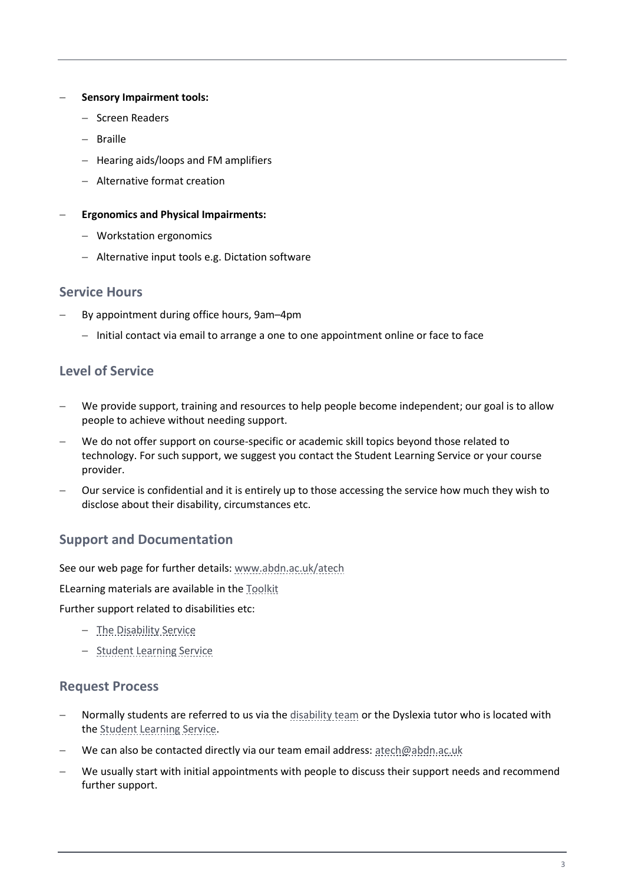## − **Sensory Impairment tools:**

- − Screen Readers
- − Braille
- − Hearing aids/loops and FM amplifiers
- − Alternative format creation
- − **Ergonomics and Physical Impairments:**
	- − Workstation ergonomics
	- − Alternative input tools e.g. Dictation software

## **Service Hours**

- By appointment during office hours, 9am–4pm
	- − Initial contact via email to arrange a one to one appointment online or face to face

# **Level of Service**

- We provide support, training and resources to help people become independent; our goal is to allow people to achieve without needing support.
- We do not offer support on course-specific or academic skill topics beyond those related to technology. For such support, we suggest you contact the Student Learning Service or your course provider.
- Our service is confidential and it is entirely up to those accessing the service how much they wish to disclose about their disability, circumstances etc.

# **Support and Documentation**

See our web page for further details[: www.abdn.ac.uk/atech](https://www.abdn.ac.uk/atech)

ELearning materials are available in th[e Toolkit](https://www.abdn.ac.uk/toolkit/#assistive_technology)

Further support related to disabilities etc:

- − [The Disability Service](https://www.abdn.ac.uk/disability/)
- − [Student Learning Service](https://www.abdn.ac.uk/sls/)

# **Request Process**

- Normally students are referred to us via th[e disability team](https://www.abdn.ac.uk/disability/) or the Dyslexia tutor who is located with th[e Student Learning](https://www.abdn.ac.uk/sls/) Service.
- − We can also be contacted directly via our team email address: [atech@abdn.ac.uk](mailto:atech@abdn.ac.uk)
- We usually start with initial appointments with people to discuss their support needs and recommend further support.